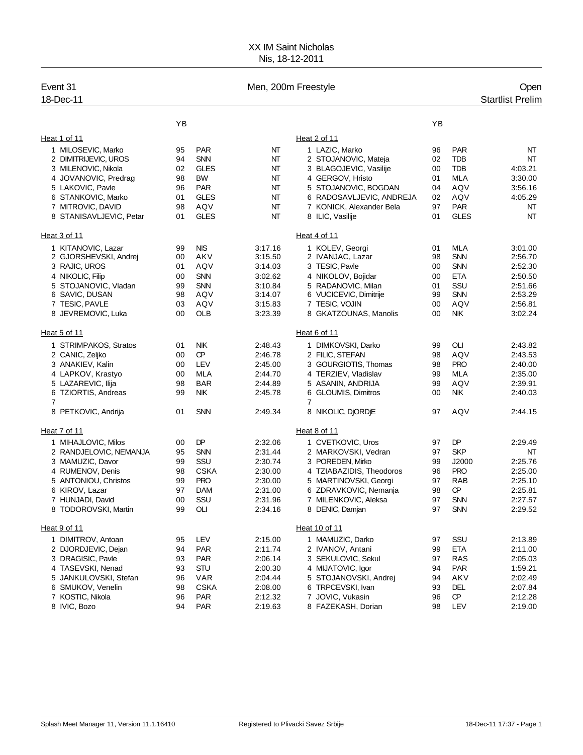## XX IM Saint Nicholas Nis, 18-12-2011

| Event 31<br>18-Dec-11    |              |             | Men, 200m Freestyle |                                       |    |             | Open<br><b>Startlist Prelim</b> |
|--------------------------|--------------|-------------|---------------------|---------------------------------------|----|-------------|---------------------------------|
|                          | YB           |             |                     |                                       | YB |             |                                 |
| Heat 1 of 11             |              |             |                     | Heat 2 of 11                          |    |             |                                 |
| 1 MILOSEVIC, Marko       | 95           | <b>PAR</b>  | NT                  | 1 LAZIC, Marko                        | 96 | <b>PAR</b>  | NT                              |
| 2 DIMITRIJEVIC, UROS     | 94           | <b>SNN</b>  | NΤ                  | 2 STOJANOVIC, Mateja                  | 02 | <b>TDB</b>  | NT                              |
| 3 MILENOVIC, Nikola      | 02           | <b>GLES</b> | NT                  | 3 BLAGOJEVIC, Vasilije                | 00 | <b>TDB</b>  | 4:03.21                         |
| 4 JOVANOVIC, Predrag     | 98           | <b>BW</b>   | NT                  | 4 GERGOV, Hristo                      | 01 | MLA         | 3:30.00                         |
| 5 LAKOVIC, Pavle         | 96           | <b>PAR</b>  | NT                  | 5 STOJANOVIC, BOGDAN                  | 04 | AQV         | 3:56.16                         |
| 6 STANKOVIC, Marko       | 01           | <b>GLES</b> | NΤ                  | 6 RADOSAVLJEVIC, ANDREJA              | 02 | AQV         | 4:05.29                         |
| 7 MITROVIC, DAVID        | 98           | AQV         | NT                  | 7 KONICK, Alexander Bela              | 97 | <b>PAR</b>  | NT                              |
| 8 STANISAVLJEVIC, Petar  | 01           | <b>GLES</b> | NT                  | 8 ILIC, Vasilije                      | 01 | <b>GLES</b> | NT                              |
| Heat 3 of 11             | Heat 4 of 11 |             |                     |                                       |    |             |                                 |
| 1 KITANOVIC, Lazar       | 99           | <b>NIS</b>  | 3:17.16             | 1 KOLEV, Georgi                       | 01 | MLA         | 3:01.00                         |
| 2 GJORSHEVSKI, Andrej    | 00           | AKV         | 3:15.50             | 2 IVANJAC, Lazar                      | 98 | <b>SNN</b>  | 2:56.70                         |
| 3 RAJIC, UROS            | 01           | AQV         | 3:14.03             | 3 TESIC, Pavle                        | 00 | <b>SNN</b>  | 2:52.30                         |
| 4 NIKOLIC, Filip         | 00           | <b>SNN</b>  | 3:02.62             | 4 NIKOLOV, Bojidar                    | 00 | <b>ETA</b>  | 2:50.50                         |
| 5 STOJANOVIC, Vladan     | 99           | <b>SNN</b>  | 3:10.84             | 5 RADANOVIC, Milan                    | 01 | SSU         | 2:51.66                         |
| 6 SAVIC, DUSAN           | 98           | AQV         | 3:14.07             | 6 VUCICEVIC, Dimitrije                | 99 | <b>SNN</b>  | 2:53.29                         |
| 7 TESIC, PAVLE           | 03           | AQV         | 3:15.83             | 7 TESIC, VOJIN                        | 00 | AQV         | 2:56.81                         |
| 8 JEVREMOVIC, Luka       | 00           | OLB         | 3:23.39             | 8 GKATZOUNAS, Manolis                 | 00 | <b>NIK</b>  | 3:02.24                         |
| Heat 5 of 11             |              |             |                     | Heat 6 of 11                          |    |             |                                 |
| 1 STRIMPAKOS, Stratos    | 01           | NIK         | 2:48.43             | 1 DIMKOVSKI, Darko                    | 99 | OLI         | 2:43.82                         |
| 2 CANIC, Zeljko          | 00           | œ           | 2:46.78             | 2 FILIC, STEFAN                       | 98 | AQV         | 2:43.53                         |
| 3 ANAKIEV, Kalin         | 00           | LEV         | 2:45.00             | 3 GOURGIOTIS, Thomas                  | 98 | <b>PRO</b>  | 2:40.00                         |
| 4 LAPKOV, Krastyo        | 00           | <b>MLA</b>  | 2:44.70             | 4 TERZIEV, Vladislav                  | 99 | MLA         | 2:35.00                         |
| 5 LAZAREVIC, Ilija       | 98           | <b>BAR</b>  | 2:44.89             | 5 ASANIN, ANDRIJA                     | 99 | AQV         | 2:39.91                         |
| 6 TZIORTIS, Andreas<br>7 | 99           | <b>NIK</b>  | 2:45.78             | 6 GLOUMIS, Dimitros<br>$\overline{7}$ | 00 | <b>NIK</b>  | 2:40.03                         |
| 8 PETKOVIC, Andrija      | 01           | <b>SNN</b>  | 2:49.34             | 8 NIKOLIC, DJORDJE                    | 97 | AQV         | 2:44.15                         |
| Heat 7 of 11             |              |             |                     | Heat 8 of 11                          |    |             |                                 |
| 1 MIHAJLOVIC, Milos      | 00           | DP          | 2:32.06             | 1 CVETKOVIC, Uros                     | 97 | DP          | 2:29.49                         |
| 2 RANDJELOVIC, NEMANJA   | 95           | <b>SNN</b>  | 2:31.44             | 2 MARKOVSKI, Vedran                   | 97 | <b>SKP</b>  | NT                              |
| 3 MAMUZIC, Davor         | 99           | SSU         | 2:30.74             | 3 POREDEN, Mirko                      | 99 | J2000       | 2:25.76                         |
| 4 RUMENOV, Denis         | 98           | <b>CSKA</b> | 2:30.00             | 4 TZIABAZIDIS, Theodoros              | 96 | <b>PRO</b>  | 2:25.00                         |
| 5 ANTONIOU, Christos     | 99           | <b>PRO</b>  | 2:30.00             | 5 MARTINOVSKI, Georgi                 | 97 | <b>RAB</b>  | 2:25.10                         |
| 6 KIROV, Lazar           | 97           | <b>DAM</b>  | 2:31.00             | 6 ZDRAVKOVIC, Nemanja                 | 98 | Œ           | 2:25.81                         |
| 7 HUNJADI, David         | $00\,$       | SSU         | 2:31.96             | 7 MILENKOVIC, Aleksa                  | 97 | SNN         | 2:27.57                         |
| 8 TODOROVSKI, Martin     | 99           | OLI         | 2:34.16             | 8 DENIC, Damjan                       | 97 | <b>SNN</b>  | 2:29.52                         |
| Heat 9 of 11             |              |             |                     | Heat 10 of 11                         |    |             |                                 |
| 1 DIMITROV, Antoan       | 95           | LEV         | 2:15.00             | 1 MAMUZIC, Darko                      | 97 | SSU         | 2:13.89                         |
| 2 DJORDJEVIC, Dejan      | 94           | <b>PAR</b>  | 2:11.74             | 2 IVANOV, Antani                      | 99 | <b>ETA</b>  | 2:11.00                         |
| 3 DRAGISIC, Pavle        | 93           | <b>PAR</b>  | 2:06.14             | 3 SEKULOVIC, Sekul                    | 97 | <b>RAS</b>  | 2:05.03                         |
| 4 TASEVSKI, Nenad        | 93           | <b>STU</b>  | 2:00.30             | 4 MIJATOVIC, Igor                     | 94 | <b>PAR</b>  | 1:59.21                         |
| 5 JANKULOVSKI, Stefan    | 96           | <b>VAR</b>  | 2:04.44             | 5 STOJANOVSKI, Andrej                 | 94 | AKV         | 2:02.49                         |
| 6 SMUKOV, Venelin        | 98           | <b>CSKA</b> | 2:08.00             | 6 TRPCEVSKI, Ivan                     | 93 | DEL         | 2:07.84                         |
| 7 KOSTIC, Nikola         | 96           | <b>PAR</b>  | 2:12.32             | 7 JOVIC, Vukasin                      | 96 | Œ           | 2:12.28                         |
| 8 IVIC, Bozo             | 94           | <b>PAR</b>  | 2:19.63             | 8 FAZEKASH, Dorian                    | 98 | LEV         | 2:19.00                         |